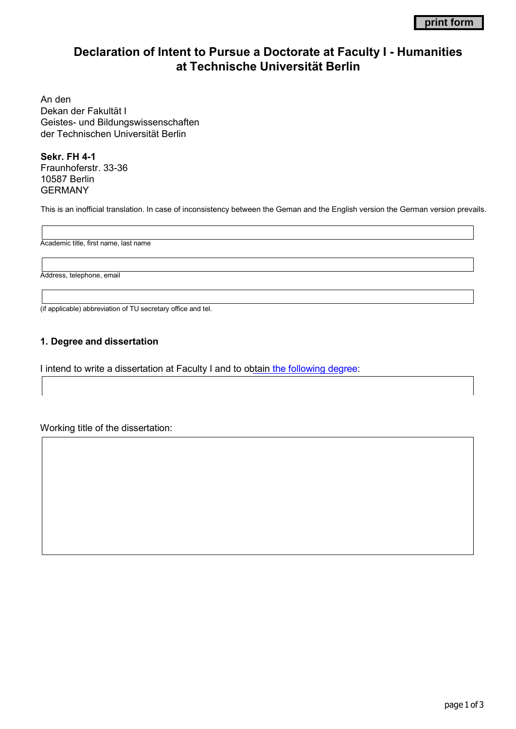# **Declaration of Intent to Pursue a Doctorate at Faculty I - Humanities at Technische Universität Berlin**

An den Dekan der Fakultät I Geistes- und Bildungswissenschaften der Technischen Universität Berlin

**Sekr. FH 4-1** Fraunhoferstr. 33-36 10587 Berlin GERMANY

This is an inofficial translation. In case of inconsistency between the Geman and the English version the German version prevails.

Academic title, first name, last name

Address, telephone, email

(if applicable) abbreviation of TU secretary office and tel.

## **1. Degree and dissertation**

I intend to write a dissertation at Faculty I and to obtain [the following degree:](http://www.tudoc.tu-berlin.de/menue/promovierende/rechtliches/promotionsordnung/parameter/en/)

Working title of the dissertation: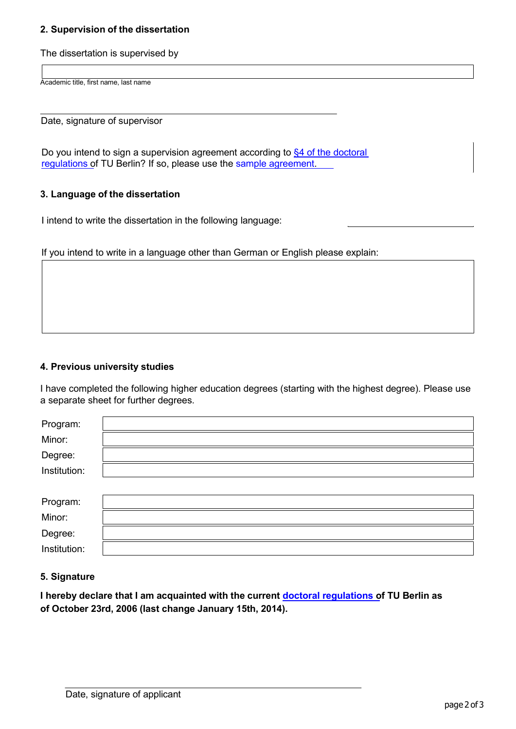## **2. Supervision of the dissertation**

The dissertation is supervised by

Academic title, first name, last name

Date, signature of supervisor

Do you intend to sign a supervision agreement according to \$4 of the doctoral [regulations](http://www.tudoc.tu-berlin.de/-/doctoral_research/formalities/doctoral_regulations/parameter/en/#576800) of TU Berlin? If so, please use the [sample agreement.](http://www.tudoc.tu-berlin.de/-/doctoral_research/supervision/parameter/en/)

#### **3. Language of the dissertation**

I intend to write the dissertation in the following language:

If you intend to write in a language other than German or English please explain:

## **4. Previous university studies**

I have completed the following higher education degrees (starting with the highest degree). Please use a separate sheet for further degrees.

| Program:     |  |
|--------------|--|
| Minor:       |  |
| Degree:      |  |
| Institution: |  |
|              |  |
| Program:     |  |
| Minor:       |  |
| Degree:      |  |
| Institution: |  |

#### **5. Signature**

**I hereby declare that I am acquainted with the current [doctoral regulations of](http://www.tudoc.tu-berlin.de/menue/promovierende/rechtliches/promotionsordnung/parameter/en/) TU Berlin as of October 23rd, 2006 (last change January 15th, 2014).**